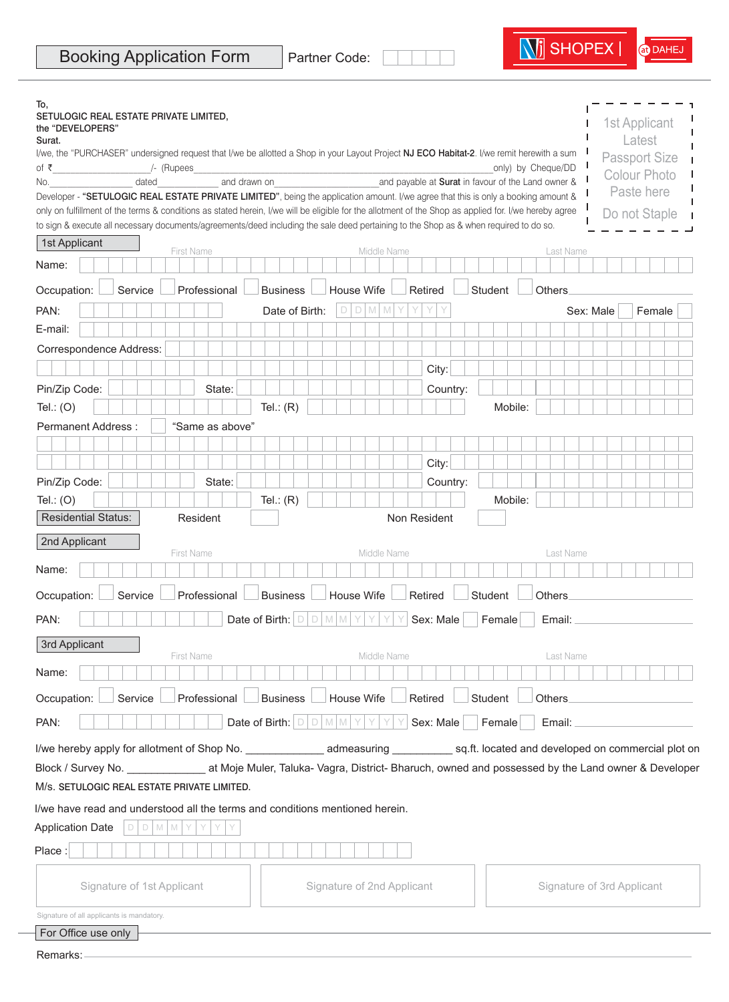| To,<br>SETULOGIC REAL ESTATE PRIVATE LIMITED,                                                                                                         |                   |                                                                           |                            |              |                                                           |                            |
|-------------------------------------------------------------------------------------------------------------------------------------------------------|-------------------|---------------------------------------------------------------------------|----------------------------|--------------|-----------------------------------------------------------|----------------------------|
| the "DEVELOPERS"                                                                                                                                      |                   |                                                                           |                            |              |                                                           | 1st Applicant              |
| Surat.                                                                                                                                                |                   |                                                                           |                            |              |                                                           | Latest                     |
| I/we, the "PURCHASER" undersigned request that I/we be allotted a Shop in your Layout Project NJ ECO Habitat-2. I/we remit herewith a sum             | /- (Rupees        |                                                                           |                            |              | only) by Cheque/DD                                        | <b>Passport Size</b>       |
| of ₹<br>dated<br>No.                                                                                                                                  | and drawn on      |                                                                           |                            |              | and payable at <b>Surat</b> in favour of the Land owner & | <b>Colour Photo</b>        |
| Developer - "SETULOGIC REAL ESTATE PRIVATE LIMITED", being the application amount. I/we agree that this is only a booking amount &                    |                   |                                                                           |                            |              |                                                           | Paste here                 |
| only on fulfillment of the terms & conditions as stated herein, I/we will be eligible for the allotment of the Shop as applied for. I/we hereby agree |                   |                                                                           |                            |              |                                                           | Do not Staple              |
| to sign & execute all necessary documents/agreements/deed including the sale deed pertaining to the Shop as & when required to do so.                 |                   |                                                                           |                            |              |                                                           |                            |
| 1st Applicant                                                                                                                                         | <b>First Name</b> |                                                                           | Middle Name                |              | Last Name                                                 |                            |
| Name:                                                                                                                                                 |                   |                                                                           |                            |              |                                                           |                            |
| Occupation:<br>Service                                                                                                                                | Professional      | <b>Business</b>                                                           | House Wife                 | Retired      | <b>Student</b><br>Others                                  |                            |
| PAN:                                                                                                                                                  |                   | Date of Birth:                                                            | $D$ M<br>D<br>M            | Y<br>Y<br>Y  |                                                           | Female<br>Sex: Male        |
| E-mail:                                                                                                                                               |                   |                                                                           |                            |              |                                                           |                            |
| Correspondence Address:                                                                                                                               |                   |                                                                           |                            |              |                                                           |                            |
|                                                                                                                                                       |                   |                                                                           |                            | City:        |                                                           |                            |
| Pin/Zip Code:                                                                                                                                         | State:            |                                                                           |                            | Country:     |                                                           |                            |
| Tel.: $(O)$                                                                                                                                           |                   | Tel.: $(R)$                                                               |                            |              | Mobile:                                                   |                            |
| Permanent Address:                                                                                                                                    | "Same as above"   |                                                                           |                            |              |                                                           |                            |
|                                                                                                                                                       |                   |                                                                           |                            |              |                                                           |                            |
|                                                                                                                                                       |                   |                                                                           |                            |              |                                                           |                            |
|                                                                                                                                                       |                   |                                                                           |                            | City:        |                                                           |                            |
| Pin/Zip Code:                                                                                                                                         | State:            |                                                                           |                            | Country:     |                                                           |                            |
| Tel.: $(O)$                                                                                                                                           |                   | Tel.: $(R)$                                                               |                            |              | Mobile:                                                   |                            |
| <b>Residential Status:</b>                                                                                                                            | Resident          |                                                                           |                            | Non Resident |                                                           |                            |
| 2nd Applicant                                                                                                                                         |                   |                                                                           |                            |              |                                                           |                            |
| Name:                                                                                                                                                 | <b>First Name</b> |                                                                           | Middle Name                |              | Last Name                                                 |                            |
|                                                                                                                                                       |                   |                                                                           |                            |              |                                                           |                            |
| Service<br>Occupation:                                                                                                                                | Professional      | <b>Business</b>                                                           | House Wife                 | Retired      | <b>Student</b><br>Others                                  |                            |
| PAN:                                                                                                                                                  |                   | Date of Birth: $ D $<br>$\Box$                                            | M M                        | Sex: Male    | Female<br>Email:                                          |                            |
| 3rd Applicant                                                                                                                                         |                   |                                                                           |                            |              |                                                           |                            |
| Name:                                                                                                                                                 | <b>First Name</b> |                                                                           | Middle Name                |              | Last Name                                                 |                            |
|                                                                                                                                                       |                   |                                                                           |                            |              |                                                           |                            |
| Service<br>Occupation:                                                                                                                                | Professional      | <b>Business</b>                                                           | House Wife                 | Retired      | Student<br>Others                                         |                            |
| PAN:                                                                                                                                                  |                   | Date of Birth: $\left  D \right  D \left  M \right  M \left  Y \right  Y$ | Y                          | Sex: Male    | Female<br>Email:                                          |                            |
|                                                                                                                                                       |                   |                                                                           |                            |              |                                                           |                            |
| Block / Survey No. _______________________ at Moje Muler, Taluka- Vagra, District- Bharuch, owned and possessed by the Land owner & Developer         |                   |                                                                           |                            |              |                                                           |                            |
| M/s. SETULOGIC REAL ESTATE PRIVATE LIMITED.                                                                                                           |                   |                                                                           |                            |              |                                                           |                            |
| I/we have read and understood all the terms and conditions mentioned herein.                                                                          |                   |                                                                           |                            |              |                                                           |                            |
| <b>Application Date</b><br>$\Box$<br>$D$ M M                                                                                                          |                   |                                                                           |                            |              |                                                           |                            |
| Place:                                                                                                                                                |                   |                                                                           |                            |              |                                                           |                            |
|                                                                                                                                                       |                   |                                                                           |                            |              |                                                           |                            |
| Signature of 1st Applicant                                                                                                                            |                   |                                                                           | Signature of 2nd Applicant |              |                                                           | Signature of 3rd Applicant |
| Signature of all applicants is mandatory.                                                                                                             |                   |                                                                           |                            |              |                                                           |                            |
| For Office use only                                                                                                                                   |                   |                                                                           |                            |              |                                                           |                            |
| Remarks: -                                                                                                                                            |                   |                                                                           |                            |              |                                                           |                            |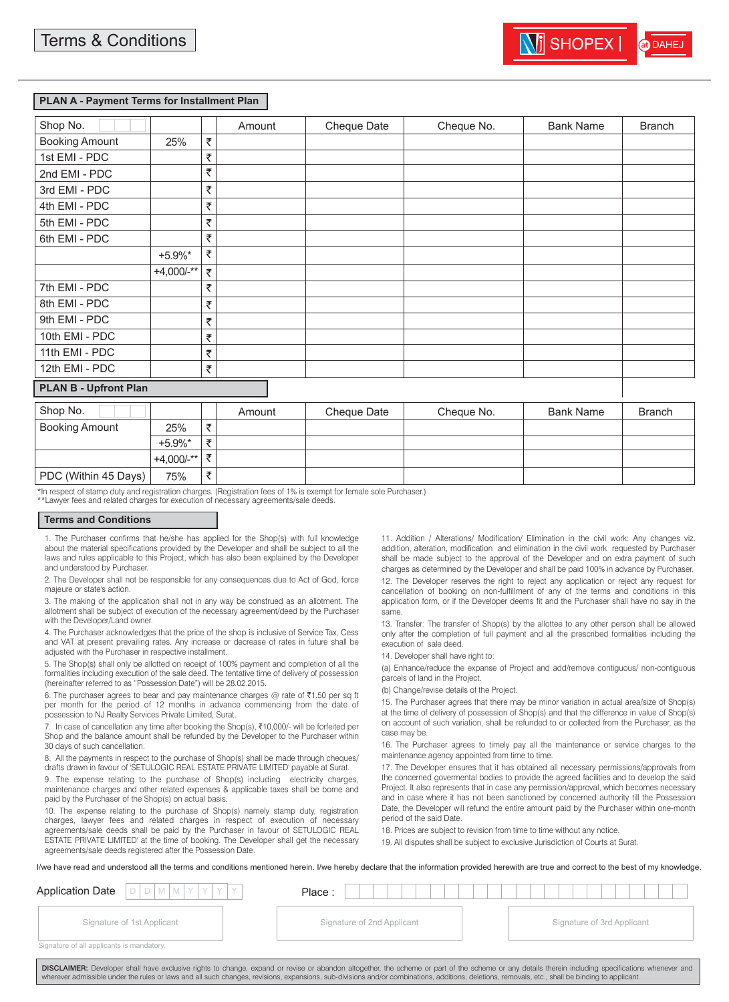#### **PLAN A - Payment Terms for Installment Plan**

| Shop No.                     |               |   | Amount | Cheque Date | Cheque No. | <b>Bank Name</b> | <b>Branch</b> |
|------------------------------|---------------|---|--------|-------------|------------|------------------|---------------|
| <b>Booking Amount</b>        | 25%           | ₹ |        |             |            |                  |               |
| 1st EMI - PDC                |               | ₹ |        |             |            |                  |               |
| 2nd EMI - PDC                |               | ₹ |        |             |            |                  |               |
| 3rd EMI - PDC                |               | ₹ |        |             |            |                  |               |
| 4th EMI - PDC                |               | ₹ |        |             |            |                  |               |
| 5th EMI - PDC                |               | ₹ |        |             |            |                  |               |
| 6th EMI - PDC                |               | ₹ |        |             |            |                  |               |
|                              | $+5.9\%$ *    | ₹ |        |             |            |                  |               |
|                              | $+4,000/$ -** | ₹ |        |             |            |                  |               |
| 7th EMI - PDC                |               | ₹ |        |             |            |                  |               |
| 8th EMI - PDC                |               | ₹ |        |             |            |                  |               |
| 9th EMI - PDC                |               | ₹ |        |             |            |                  |               |
| 10th EMI - PDC               |               | ₹ |        |             |            |                  |               |
| 11th EMI - PDC               |               | ₹ |        |             |            |                  |               |
| 12th EMI - PDC               |               | ₹ |        |             |            |                  |               |
| <b>PLAN B - Upfront Plan</b> |               |   |        |             |            |                  |               |
| Shop No.                     |               |   | Amount | Cheque Date | Cheque No. | <b>Bank Name</b> | <b>Branch</b> |
| <b>Booking Amount</b>        | 250/          | 手 |        |             |            |                  |               |

| <b>UIUD IVU.</b>      |                 |               | AIIIOUIIL | Gregue Date | Criegue No. | DAIIN NAILE | DIANUI |
|-----------------------|-----------------|---------------|-----------|-------------|-------------|-------------|--------|
| <b>Booking Amount</b> | 25%             | $\Rightarrow$ |           |             |             |             |        |
|                       | $+5.9\%$ *      |               |           |             |             |             |        |
|                       | $+4.000/$ -** ' | ₹             |           |             |             |             |        |
| PDC (Within 45 Days)  | 75%             |               |           |             |             |             |        |

\*In respect of stamp duty and registration charges. (Registration fees of 1% is exempt for female sole Purchaser.)

\*\*Lawyer fees and related charges for execution of necessary agreements/sale deeds.

#### **Terms and Conditions**

1. The Purchaser confirms that he/she has applied for the Shop(s) with full knowledge about the material specifications provided by the Developer and shall be subject to all the laws and rules applicable to this Project, which has also been explained by the Developer and understood by Purchaser.

2. The Developer shall not be responsible for any consequences due to Act of God, force majeure or state's action.

3. The making of the application shall not in any way be construed as an allotment. The allotment shall be subject of execution of the necessary agreement/deed by the Purchaser with the Developer/Land owner

4. The Purchaser acknowledges that the price of the shop is inclusive of Service Tax, Cess and VAT at present prevailing rates. Any increase or decrease of rates in future shall be adjusted with the Purchaser in respective installment.

5. The Shop(s) shall only be allotted on receipt of 100% payment and completion of all the formalities including execution of the sale deed. The tentative time of delivery of possession (hereinafter referred to as "Possession Date") will be 28.02.2015.

6. The purchaser agrees to bear and pay maintenance charges @ rate of  $\bar{\tau}1.50$  per sq ft per month for the period of 12 months in advance commencing from the date of possession to NJ Realty Services Private Limited, Surat.

7. In case of cancellation any time after booking the Shop(s), ₹10,000/- will be forfeited per Shop and the balance amount shall be refunded by the Developer to the Purchaser within 30 days of such cancellation.

8. All the payments in respect to the purchase of Shop(s) shall be made through cheques/ drafts drawn in favour of 'SETULOGIC REAL ESTATE PRIVATE LIMITED' payable at Surat.

9. The expense relating to the purchase of Shop(s) including electricity charges, maintenance charges and other related expenses & applicable taxes shall be borne and paid by the Purchaser of the Shop(s) on actual basis.

10. The expense relating to the purchase of Shop(s) namely stamp duty, registration charges, lawyer fees and related charges in respect of execution of necessary agreements/sale deeds shall be paid by the Purchaser in favour of SETULOGIC REAL ESTATE PRIVATE LIMITED' at the time of booking. The Developer shall get the necessary agreements/sale deeds registered after the Possession Date.

11. Addition / Alterations/ Modification/ Elimination in the civil work: Any changes viz. addition, alteration, modification and elimination in the civil work requested by Purchaser shall be made subject to the approval of the Developer and on extra payment of such charges as determined by the Developer and shall be paid 100% in advance by Purchaser. 12. The Developer reserves the right to reject any application or reject any request for cancellation of booking on non-fulfillment of any of the terms and conditions in this application form, or if the Developer deems fit and the Purchaser shall have no say in the same.

13. Transfer: The transfer of Shop(s) by the allottee to any other person shall be allowed only after the completion of full payment and all the prescribed formalities including the execution of sale deed.

14. Developer shall have right to:

(a) Enhance/reduce the expanse of Project and add/remove contiguous/ non-contiguous parcels of land in the Project.

(b) Change/revise details of the Project.

15. The Purchaser agrees that there may be minor variation in actual area/size of Shop(s) at the time of delivery of possession of Shop(s) and that the difference in value of Shop(s) on account of such variation, shall be refunded to or collected from the Purchaser, as the case may be.

16. The Purchaser agrees to timely pay all the maintenance or service charges to the maintenance agency appointed from time to time.

17. The Developer ensures that it has obtained all necessary permissions/approvals from the concerned govermental bodies to provide the agreed facilities and to develop the said Project. It also represents that in case any permission/approval, which becomes necessary and in case where it has not been sanctioned by concerned authority till the Possession Date, the Developer will refund the entire amount paid by the Purchaser within one-month period of the said Date.

18. Prices are subject to revision from time to time without any notice.

19. All disputes shall be subject to exclusive Jurisdiction of Courts at Surat.

I/we have read and understood all the terms and conditions mentioned herein. I/we hereby declare that the information provided herewith are true and correct to the best of my knowledge.

| <b>Application Date</b><br>$D/D/M/M/Y/Y/Y$ | Place:                     |                            |
|--------------------------------------------|----------------------------|----------------------------|
| Signature of 1st Applicant                 | Signature of 2nd Applicant | Signature of 3rd Applicant |
| Signature of all applicants is mandatory.  |                            |                            |

DISCLAIMER: Developer shall have exclusive rights to change, expand or revise or abandon altogether, the scheme or part of the scheme or any details therein including specifications whenever and wherever admissible under the rules or laws and all such changes, revisions, expansions, sub-divisions and/or combinations, additions, deletions, removals, etc., shall be binding to applicant.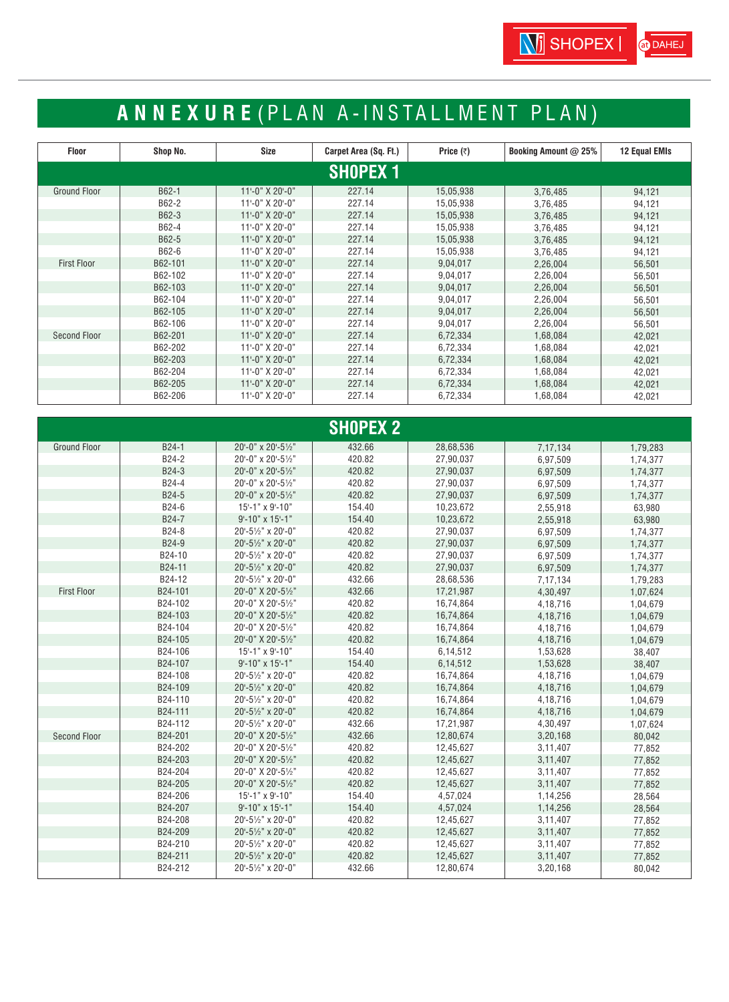# **ANNEXURE** ( PLAN A-INSTALLMENT PLAN)

| <b>Floor</b>        | Shop No. | Size                | Carpet Area (Sq. Ft.) | Price $(7)$ | <b>Booking Amount @ 25%</b> | <b>12 Equal EMIs</b> |
|---------------------|----------|---------------------|-----------------------|-------------|-----------------------------|----------------------|
|                     |          |                     | <b>SHOPEX 1</b>       |             |                             |                      |
| <b>Ground Floor</b> | B62-1    | 11'-0" X 20'-0"     | 227.14                | 15,05,938   | 3,76,485                    | 94,121               |
|                     | B62-2    | 11'-0" X 20'-0"     | 227.14                | 15,05,938   | 3,76,485                    | 94,121               |
|                     | B62-3    | 11'-0" X 20'-0"     | 227.14                | 15,05,938   | 3,76,485                    | 94,121               |
|                     | B62-4    | 11'-0" X 20'-0"     | 227.14                | 15,05,938   | 3,76,485                    | 94,121               |
|                     | B62-5    | 11'-0" X 20'-0"     | 227.14                | 15,05,938   | 3,76,485                    | 94,121               |
|                     | B62-6    | $11 - 0$ " X 20'-0" | 227.14                | 15,05,938   | 3,76,485                    | 94,121               |
| <b>First Floor</b>  | B62-101  | 11'-0" X 20'-0"     | 227.14                | 9,04,017    | 2,26,004                    | 56,501               |
|                     | B62-102  | 11'-0" X 20'-0"     | 227.14                | 9,04,017    | 2,26,004                    | 56,501               |
|                     | B62-103  | 11'-0" X 20'-0"     | 227.14                | 9,04,017    | 2,26,004                    | 56,501               |
|                     | B62-104  | 11'-0" X 20'-0"     | 227.14                | 9,04,017    | 2,26,004                    | 56,501               |
|                     | B62-105  | $11 - 0$ " X 20'-0" | 227.14                | 9,04,017    | 2,26,004                    | 56,501               |
|                     | B62-106  | 11'-0" X 20'-0"     | 227.14                | 9,04,017    | 2,26,004                    | 56,501               |
| Second Floor        | B62-201  | $11 - 0$ " X 20'-0" | 227.14                | 6,72,334    | 1,68,084                    | 42,021               |
|                     | B62-202  | 11'-0" X 20'-0"     | 227.14                | 6,72,334    | 1,68,084                    | 42,021               |
|                     | B62-203  | 11'-0" X 20'-0"     | 227.14                | 6,72,334    | 1,68,084                    | 42,021               |
|                     | B62-204  | 11'-0" X 20'-0"     | 227.14                | 6,72,334    | 1,68,084                    | 42,021               |
|                     | B62-205  | 11'-0" X 20'-0"     | 227.14                | 6,72,334    | 1,68,084                    | 42,021               |
|                     | B62-206  | 11'-0" X 20'-0"     | 227.14                | 6,72,334    | 1,68,084                    | 42,021               |

|                     |         |                    | <b>SHOPEX 2</b> |           |          |          |
|---------------------|---------|--------------------|-----------------|-----------|----------|----------|
| <b>Ground Floor</b> | B24-1   | 20'-0" x 20'-51/2" | 432.66          | 28,68,536 | 7,17,134 | 1,79,283 |
|                     | B24-2   | 20'-0" x 20'-51/2" | 420.82          | 27,90,037 | 6,97,509 | 1,74,377 |
|                     | B24-3   | 20'-0" x 20'-51/2" | 420.82          | 27,90,037 | 6,97,509 | 1,74,377 |
|                     | B24-4   | 20'-0" x 20'-51/2" | 420.82          | 27,90,037 | 6,97,509 | 1,74,377 |
|                     | B24-5   | 20'-0" x 20'-51/2" | 420.82          | 27,90,037 | 6,97,509 | 1,74,377 |
|                     | B24-6   | 15'-1" x 9'-10"    | 154.40          | 10,23,672 | 2,55,918 | 63,980   |
|                     | B24-7   | 9'-10" x 15'-1"    | 154.40          | 10,23,672 | 2,55,918 | 63,980   |
|                     | B24-8   | 20'-51/2" x 20'-0" | 420.82          | 27,90,037 | 6,97,509 | 1,74,377 |
|                     | B24-9   | 20'-51/2" x 20'-0" | 420.82          | 27,90,037 | 6,97,509 | 1,74,377 |
|                     | B24-10  | 20'-51/2" x 20'-0" | 420.82          | 27,90,037 | 6,97,509 | 1,74,377 |
|                     | B24-11  | 20'-51/2" x 20'-0" | 420.82          | 27,90,037 | 6,97,509 | 1,74,377 |
|                     | B24-12  | 20'-51/2" x 20'-0" | 432.66          | 28,68,536 | 7,17,134 | 1,79,283 |
| <b>First Floor</b>  | B24-101 | 20'-0" X 20'-51/2" | 432.66          | 17,21,987 | 4,30,497 | 1,07,624 |
|                     | B24-102 | 20'-0" X 20'-51/2" | 420.82          | 16,74,864 | 4,18,716 | 1,04,679 |
|                     | B24-103 | 20'-0" X 20'-51/2" | 420.82          | 16,74,864 | 4,18,716 | 1,04,679 |
|                     | B24-104 | 20'-0" X 20'-51/2" | 420.82          | 16,74,864 | 4,18,716 | 1,04,679 |
|                     | B24-105 | 20'-0" X 20'-51/2" | 420.82          | 16,74,864 | 4,18,716 | 1,04,679 |
|                     | B24-106 | 15'-1" x 9'-10"    | 154.40          | 6,14,512  | 1,53,628 | 38,407   |
|                     | B24-107 | 9'-10" x 15'-1"    | 154.40          | 6,14,512  | 1,53,628 | 38,407   |
|                     | B24-108 | 20'-51/2" x 20'-0" | 420.82          | 16,74,864 | 4,18,716 | 1,04,679 |
|                     | B24-109 | 20'-51/2" x 20'-0" | 420.82          | 16,74,864 | 4,18,716 | 1,04,679 |
|                     | B24-110 | 20'-51/2" x 20'-0" | 420.82          | 16,74,864 | 4,18,716 | 1,04,679 |
|                     | B24-111 | 20'-51/2" x 20'-0" | 420.82          | 16,74,864 | 4,18,716 | 1,04,679 |
|                     | B24-112 | 20'-51/2" x 20'-0" | 432.66          | 17,21,987 | 4,30,497 | 1,07,624 |
| <b>Second Floor</b> | B24-201 | 20'-0" X 20'-51/2" | 432.66          | 12,80,674 | 3,20,168 | 80,042   |
|                     | B24-202 | 20'-0" X 20'-51/2" | 420.82          | 12,45,627 | 3,11,407 | 77,852   |
|                     | B24-203 | 20'-0" X 20'-51/2" | 420.82          | 12,45,627 | 3,11,407 | 77,852   |
|                     | B24-204 | 20'-0" X 20'-51/2" | 420.82          | 12,45,627 | 3,11,407 | 77,852   |
|                     | B24-205 | 20'-0" X 20'-51/2" | 420.82          | 12,45,627 | 3,11,407 | 77,852   |
|                     | B24-206 | 15'-1" x 9'-10"    | 154.40          | 4,57,024  | 1,14,256 | 28,564   |
|                     | B24-207 | 9'-10" x 15'-1"    | 154.40          | 4,57,024  | 1,14,256 | 28,564   |
|                     | B24-208 | 20'-51/2" x 20'-0" | 420.82          | 12,45,627 | 3,11,407 | 77,852   |
|                     | B24-209 | 20'-51/2" x 20'-0" | 420.82          | 12,45,627 | 3,11,407 | 77,852   |
|                     | B24-210 | 20'-51/2" x 20'-0" | 420.82          | 12,45,627 | 3,11,407 | 77,852   |
|                     | B24-211 | 20'-51/2" x 20'-0" | 420.82          | 12,45,627 | 3,11,407 | 77,852   |
|                     | B24-212 | 20'-51/2" x 20'-0" | 432.66          | 12,80,674 | 3,20,168 | 80,042   |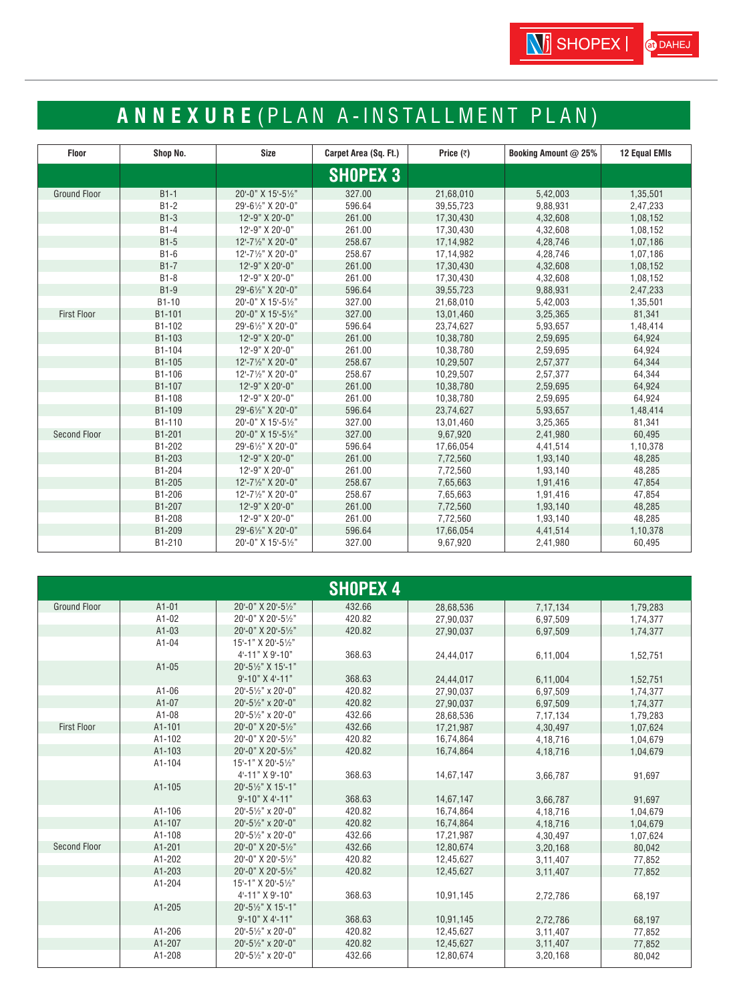# **ANNEXURE** ( PLAN A-INSTALLMENT PLAN)

| <b>Floor</b>        | Shop No. | Size               | Carpet Area (Sq. Ft.) | Price $(3)$ | Booking Amount @ 25% | <b>12 Equal EMIs</b> |
|---------------------|----------|--------------------|-----------------------|-------------|----------------------|----------------------|
|                     |          |                    | <b>SHOPEX 3</b>       |             |                      |                      |
| <b>Ground Floor</b> | $B1-1$   | 20'-0" X 15'-51/2" | 327.00                | 21,68,010   | 5,42,003             | 1,35,501             |
|                     | $B1-2$   | 29'-61/2" X 20'-0" | 596.64                | 39,55,723   | 9,88,931             | 2,47,233             |
|                     | $B1-3$   | 12'-9" X 20'-0"    | 261.00                | 17,30,430   | 4,32,608             | 1,08,152             |
|                     | $B1-4$   | 12'-9" X 20'-0"    | 261.00                | 17,30,430   | 4,32,608             | 1,08,152             |
|                     | $B1-5$   | 12'-71/2" X 20'-0" | 258.67                | 17,14,982   | 4,28,746             | 1,07,186             |
|                     | $B1-6$   | 12'-71/2" X 20'-0" | 258.67                | 17,14,982   | 4,28,746             | 1,07,186             |
|                     | $B1 - 7$ | 12'-9" X 20'-0"    | 261.00                | 17,30,430   | 4,32,608             | 1,08,152             |
|                     | $B1-8$   | 12'-9" X 20'-0"    | 261.00                | 17,30,430   | 4,32,608             | 1,08,152             |
|                     | $B1-9$   | 29'-61/2" X 20'-0" | 596.64                | 39,55,723   | 9,88,931             | 2,47,233             |
|                     | B1-10    | 20'-0" X 15'-51/2" | 327.00                | 21,68,010   | 5,42,003             | 1,35,501             |
| <b>First Floor</b>  | B1-101   | 20'-0" X 15'-51/2" | 327.00                | 13,01,460   | 3,25,365             | 81,341               |
|                     | B1-102   | 29'-61/2" X 20'-0" | 596.64                | 23,74,627   | 5,93,657             | 1,48,414             |
|                     | B1-103   | 12'-9" X 20'-0"    | 261.00                | 10,38,780   | 2,59,695             | 64,924               |
|                     | B1-104   | 12'-9" X 20'-0"    | 261.00                | 10,38,780   | 2,59,695             | 64,924               |
|                     | B1-105   | 12'-71/2" X 20'-0" | 258.67                | 10,29,507   | 2,57,377             | 64,344               |
|                     | B1-106   | 12'-71/2" X 20'-0" | 258.67                | 10,29,507   | 2,57,377             | 64,344               |
|                     | B1-107   | 12'-9" X 20'-0"    | 261.00                | 10,38,780   | 2,59,695             | 64,924               |
|                     | B1-108   | 12'-9" X 20'-0"    | 261.00                | 10,38,780   | 2,59,695             | 64,924               |
|                     | B1-109   | 29'-61/2" X 20'-0" | 596.64                | 23,74,627   | 5,93,657             | 1,48,414             |
|                     | B1-110   | 20'-0" X 15'-51/2" | 327.00                | 13,01,460   | 3,25,365             | 81,341               |
| <b>Second Floor</b> | B1-201   | 20'-0" X 15'-51/2" | 327.00                | 9,67,920    | 2,41,980             | 60,495               |
|                     | B1-202   | 29'-61/2" X 20'-0" | 596.64                | 17,66,054   | 4,41,514             | 1,10,378             |
|                     | B1-203   | 12'-9" X 20'-0"    | 261.00                | 7,72,560    | 1,93,140             | 48,285               |
|                     | B1-204   | 12'-9" X 20'-0"    | 261.00                | 7,72,560    | 1,93,140             | 48,285               |
|                     | B1-205   | 12'-71/2" X 20'-0" | 258.67                | 7,65,663    | 1,91,416             | 47,854               |
|                     | B1-206   | 12'-71/2" X 20'-0" | 258.67                | 7,65,663    | 1,91,416             | 47,854               |
|                     | B1-207   | 12'-9" X 20'-0"    | 261.00                | 7,72,560    | 1,93,140             | 48,285               |
|                     | B1-208   | 12'-9" X 20'-0"    | 261.00                | 7,72,560    | 1,93,140             | 48,285               |
|                     | B1-209   | 29'-61/2" X 20'-0" | 596.64                | 17,66,054   | 4,41,514             | 1,10,378             |
|                     | B1-210   | 20'-0" X 15'-51/2" | 327.00                | 9,67,920    | 2,41,980             | 60,495               |

|                     | <b>SHOPEX 4</b> |                                 |        |           |          |          |  |  |  |  |
|---------------------|-----------------|---------------------------------|--------|-----------|----------|----------|--|--|--|--|
| <b>Ground Floor</b> | $A1-01$         | 20'-0" X 20'-51/2"              | 432.66 | 28,68,536 | 7,17,134 | 1,79,283 |  |  |  |  |
|                     | A1-02           | 20'-0" X 20'-51/2"              | 420.82 | 27,90,037 | 6,97,509 | 1.74.377 |  |  |  |  |
|                     | $A1-03$         | 20'-0" X 20'-51/2"              | 420.82 | 27,90,037 | 6.97.509 | 1,74,377 |  |  |  |  |
|                     | $A1-04$         | 15'-1" X 20'-51/2"              |        |           |          |          |  |  |  |  |
|                     |                 | 4'-11" X 9'-10"                 | 368.63 | 24.44.017 | 6,11,004 | 1,52,751 |  |  |  |  |
|                     | $A1-05$         | 20'-51/2" X 15'-1"              |        |           |          |          |  |  |  |  |
|                     |                 | $9 - 10" X 4 - 11"$             | 368.63 | 24,44,017 | 6,11,004 | 1,52,751 |  |  |  |  |
|                     | A1-06           | 20'-51/2" x 20'-0"              | 420.82 | 27,90,037 | 6,97,509 | 1,74,377 |  |  |  |  |
|                     | A1-07           | 20'-51/2" x 20'-0"              | 420.82 | 27,90,037 | 6,97,509 | 1,74,377 |  |  |  |  |
|                     | A1-08           | 20'-51/2" x 20'-0"              | 432.66 | 28,68,536 | 7,17,134 | 1,79,283 |  |  |  |  |
| <b>First Floor</b>  | A1-101          | 20'-0" X 20'-51/2"              | 432.66 | 17,21,987 | 4,30,497 | 1,07,624 |  |  |  |  |
|                     | A1-102          | 20'-0" X 20'-51/2"              | 420.82 | 16,74,864 | 4,18,716 | 1,04,679 |  |  |  |  |
|                     | A1-103          | 20'-0" X 20'-51/2"              | 420.82 | 16,74,864 | 4,18,716 | 1,04,679 |  |  |  |  |
|                     | A1-104          | 15'-1" X 20'-51/ <sub>2</sub> " |        |           |          |          |  |  |  |  |
|                     |                 | 4'-11" X 9'-10"                 | 368.63 | 14,67,147 | 3,66,787 | 91,697   |  |  |  |  |
|                     | A1-105          | 20'-51/ <sub>2</sub> " X 15'-1" |        |           |          |          |  |  |  |  |
|                     |                 | $9 - 10" X 4 - 11"$             | 368.63 | 14,67,147 | 3,66,787 | 91,697   |  |  |  |  |
|                     | A1-106          | 20'-51/ <sub>2</sub> " x 20'-0" | 420.82 | 16,74,864 | 4,18,716 | 1,04,679 |  |  |  |  |
|                     | A1-107          | 20'-51/2" x 20'-0"              | 420.82 | 16,74,864 | 4,18,716 | 1,04,679 |  |  |  |  |
|                     | A1-108          | 20'-51/2" x 20'-0"              | 432.66 | 17,21,987 | 4,30,497 | 1,07,624 |  |  |  |  |
| Second Floor        | A1-201          | 20'-0" X 20'-51/2"              | 432.66 | 12,80,674 | 3,20,168 | 80,042   |  |  |  |  |
|                     | A1-202          | 20'-0" X 20'-51/2"              | 420.82 | 12,45,627 | 3,11,407 | 77,852   |  |  |  |  |
|                     | A1-203          | 20'-0" X 20'-51/2"              | 420.82 | 12,45,627 | 3,11,407 | 77,852   |  |  |  |  |
|                     | A1-204          | 15'-1" X 20'-51/2"              |        |           |          |          |  |  |  |  |
|                     |                 | 4'-11" X 9'-10"                 | 368.63 | 10,91,145 | 2,72,786 | 68,197   |  |  |  |  |
|                     | $A1 - 205$      | 20'-51/ <sub>2</sub> " X 15'-1" |        |           |          |          |  |  |  |  |
|                     |                 | $9 - 10" X 4 - 11"$             | 368.63 | 10.91.145 | 2.72.786 | 68,197   |  |  |  |  |
|                     | A1-206          | 20'-51/2" x 20'-0"              | 420.82 | 12,45,627 | 3,11,407 | 77,852   |  |  |  |  |
|                     | A1-207          | 20'-51/2" x 20'-0"              | 420.82 | 12,45,627 | 3,11,407 | 77,852   |  |  |  |  |
|                     | A1-208          | 20'-51/2" x 20'-0"              | 432.66 | 12,80,674 | 3,20,168 | 80,042   |  |  |  |  |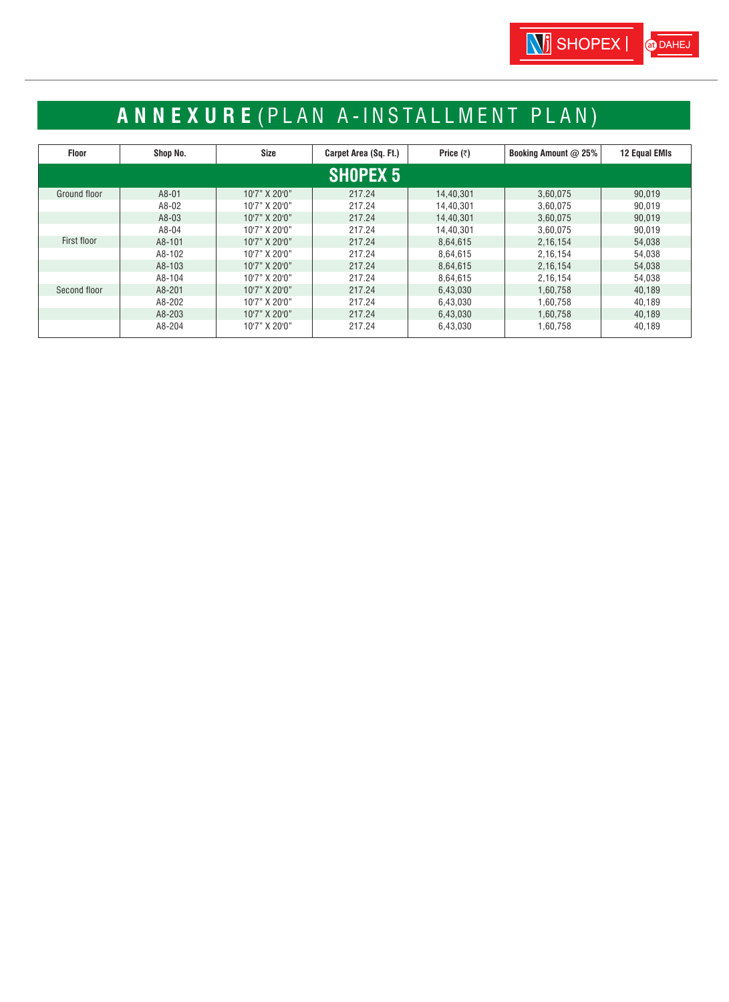# **ANNEXURE** ( PLAN A-INSTALLMENT PLAN)

| <b>Floor</b>    | Shop No. | Size          | Carpet Area (Sq. Ft.) | Price $(3)$ | <b>Booking Amount @ 25%</b> | <b>12 Equal EMIs</b> |  |  |  |
|-----------------|----------|---------------|-----------------------|-------------|-----------------------------|----------------------|--|--|--|
| <b>SHOPEX 5</b> |          |               |                       |             |                             |                      |  |  |  |
| Ground floor    | $A8-01$  | 10'7" X 20'0" | 217.24                | 14,40,301   | 3,60,075                    | 90.019               |  |  |  |
|                 | A8-02    | 10'7" X 20'0" | 217.24                | 14,40,301   | 3.60.075                    | 90.019               |  |  |  |
|                 | $A8-03$  | 10'7" X 20'0" | 217.24                | 14.40.301   | 3.60.075                    | 90.019               |  |  |  |
|                 | A8-04    | 10'7" X 20'0" | 217.24                | 14.40.301   | 3.60.075                    | 90,019               |  |  |  |
| First floor     | A8-101   | 10'7" X 20'0" | 217.24                | 8,64,615    | 2.16.154                    | 54.038               |  |  |  |
|                 | A8-102   | 10'7" X 20'0" | 217.24                | 8,64,615    | 2,16,154                    | 54,038               |  |  |  |
|                 | A8-103   | 10'7" X 20'0" | 217.24                | 8.64.615    | 2.16.154                    | 54.038               |  |  |  |
|                 | A8-104   | 10'7" X 20'0" | 217.24                | 8.64.615    | 2.16.154                    | 54.038               |  |  |  |
| Second floor    | A8-201   | 10'7" X 20'0" | 217.24                | 6,43,030    | 1.60.758                    | 40,189               |  |  |  |
|                 | A8-202   | 10'7" X 20'0" | 217.24                | 6.43.030    | 1.60.758                    | 40,189               |  |  |  |
|                 | A8-203   | 10'7" X 20'0" | 217.24                | 6,43,030    | 1,60,758                    | 40,189               |  |  |  |
|                 | A8-204   | 10'7" X 20'0" | 217.24                | 6.43.030    | 1.60.758                    | 40.189               |  |  |  |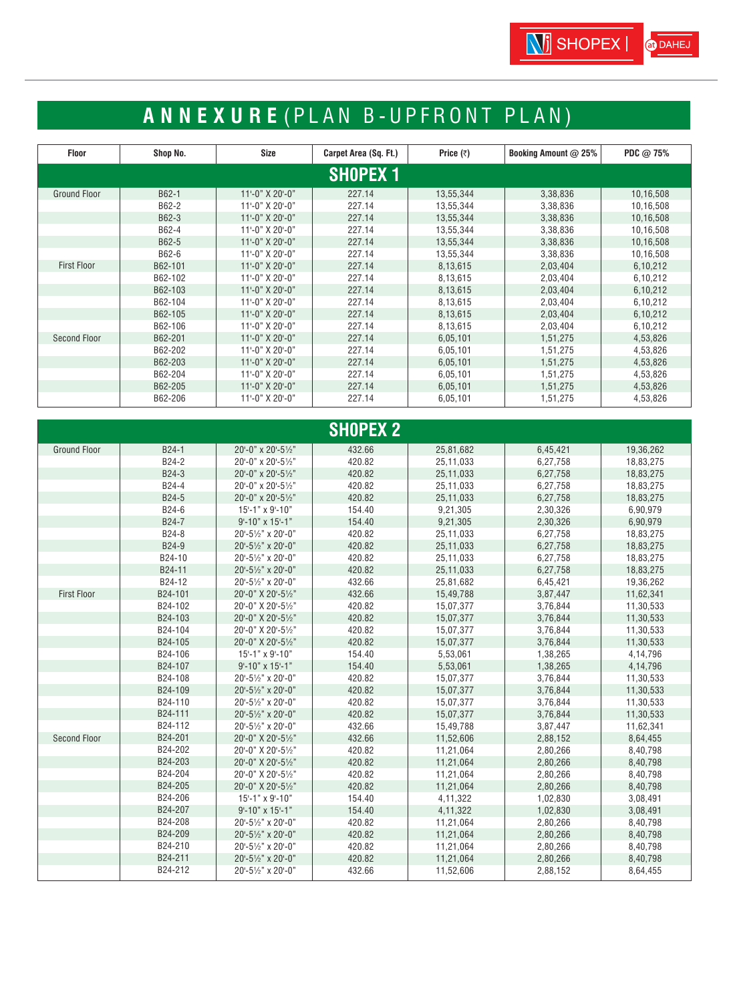# **ANNEXURE** ( PLAN B-UPFRONT PLAN)

| <b>Floor</b>        | Shop No. | Size                | Carpet Area (Sq. Ft.) | Price $(\bar{z})$ | Booking Amount @ 25% | PDC $@75%$ |  |  |  |  |
|---------------------|----------|---------------------|-----------------------|-------------------|----------------------|------------|--|--|--|--|
| <b>SHOPEX 1</b>     |          |                     |                       |                   |                      |            |  |  |  |  |
| <b>Ground Floor</b> | B62-1    | 11'-0" X 20'-0"     | 227.14                | 13,55,344         | 3,38,836             | 10,16,508  |  |  |  |  |
|                     | B62-2    | 11'-0" X 20'-0"     | 227.14                | 13,55,344         | 3,38,836             | 10,16,508  |  |  |  |  |
|                     | B62-3    | 11'-0" X 20'-0"     | 227.14                | 13,55,344         | 3,38,836             | 10,16,508  |  |  |  |  |
|                     | B62-4    | 11'-0" X 20'-0"     | 227.14                | 13,55,344         | 3,38,836             | 10,16,508  |  |  |  |  |
|                     | B62-5    | 11'-0" X 20'-0"     | 227.14                | 13,55,344         | 3,38,836             | 10,16,508  |  |  |  |  |
|                     | B62-6    | 11'-0" X 20'-0"     | 227.14                | 13,55,344         | 3,38,836             | 10,16,508  |  |  |  |  |
| <b>First Floor</b>  | B62-101  | $11 - 0$ " X 20'-0" | 227.14                | 8,13,615          | 2,03,404             | 6,10,212   |  |  |  |  |
|                     | B62-102  | 11'-0" X 20'-0"     | 227.14                | 8,13,615          | 2,03,404             | 6,10,212   |  |  |  |  |
|                     | B62-103  | $11 - 0$ " X 20'-0" | 227.14                | 8,13,615          | 2,03,404             | 6,10,212   |  |  |  |  |
|                     | B62-104  | 11'-0" X 20'-0"     | 227.14                | 8,13,615          | 2,03,404             | 6,10,212   |  |  |  |  |
|                     | B62-105  | 11'-0" X 20'-0"     | 227.14                | 8,13,615          | 2,03,404             | 6,10,212   |  |  |  |  |
|                     | B62-106  | 11'-0" X 20'-0"     | 227.14                | 8,13,615          | 2,03,404             | 6,10,212   |  |  |  |  |
| <b>Second Floor</b> | B62-201  | 11'-0" X 20'-0"     | 227.14                | 6,05,101          | 1,51,275             | 4,53,826   |  |  |  |  |
|                     | B62-202  | 11'-0" X 20'-0"     | 227.14                | 6,05,101          | 1,51,275             | 4,53,826   |  |  |  |  |
|                     | B62-203  | 11'-0" X 20'-0"     | 227.14                | 6,05,101          | 1,51,275             | 4,53,826   |  |  |  |  |
|                     | B62-204  | 11'-0" X 20'-0"     | 227.14                | 6,05,101          | 1,51,275             | 4,53,826   |  |  |  |  |
|                     | B62-205  | 11'-0" X 20'-0"     | 227.14                | 6,05,101          | 1,51,275             | 4,53,826   |  |  |  |  |
|                     | B62-206  | 11'-0" X 20'-0"     | 227.14                | 6,05,101          | 1,51,275             | 4,53,826   |  |  |  |  |

|                     |         |                    | <b>SHOPEX 2</b> |            |          |           |
|---------------------|---------|--------------------|-----------------|------------|----------|-----------|
| <b>Ground Floor</b> | B24-1   | 20'-0" x 20'-51/2" | 432.66          | 25,81,682  | 6,45,421 | 19,36,262 |
|                     | B24-2   | 20'-0" x 20'-51/2" | 420.82          | 25,11,033  | 6,27,758 | 18,83,275 |
|                     | B24-3   | 20'-0" x 20'-51/2" | 420.82          | 25,11,033  | 6,27,758 | 18,83,275 |
|                     | B24-4   | 20'-0" x 20'-51/2" | 420.82          | 25,11,033  | 6,27,758 | 18,83,275 |
|                     | B24-5   | 20'-0" x 20'-51/2" | 420.82          | 25,11,033  | 6,27,758 | 18,83,275 |
|                     | B24-6   | 15'-1" x 9'-10"    | 154.40          | 9,21,305   | 2,30,326 | 6,90,979  |
|                     | B24-7   | 9'-10" x 15'-1"    | 154.40          | 9,21,305   | 2,30,326 | 6,90,979  |
|                     | B24-8   | 20'-51/2" x 20'-0" | 420.82          | 25,11,033  | 6,27,758 | 18,83,275 |
|                     | B24-9   | 20'-51/2" x 20'-0" | 420.82          | 25,11,033  | 6,27,758 | 18,83,275 |
|                     | B24-10  | 20'-51/2" x 20'-0" | 420.82          | 25,11,033  | 6,27,758 | 18,83,275 |
|                     | B24-11  | 20'-51/2" x 20'-0" | 420.82          | 25,11,033  | 6,27,758 | 18,83,275 |
|                     | B24-12  | 20'-51/2" x 20'-0" | 432.66          | 25,81,682  | 6,45,421 | 19,36,262 |
| <b>First Floor</b>  | B24-101 | 20'-0" X 20'-51/2" | 432.66          | 15,49,788  | 3,87,447 | 11,62,341 |
|                     | B24-102 | 20'-0" X 20'-51/2" | 420.82          | 15,07,377  | 3,76,844 | 11,30,533 |
|                     | B24-103 | 20'-0" X 20'-51/2" | 420.82          | 15,07,377  | 3,76,844 | 11,30,533 |
|                     | B24-104 | 20'-0" X 20'-51/2" | 420.82          | 15,07,377  | 3,76,844 | 11,30,533 |
|                     | B24-105 | 20'-0" X 20'-51/2" | 420.82          | 15,07,377  | 3,76,844 | 11,30,533 |
|                     | B24-106 | 15'-1" x 9'-10"    | 154.40          | 5,53,061   | 1,38,265 | 4,14,796  |
|                     | B24-107 | 9'-10" x 15'-1"    | 154.40          | 5,53,061   | 1,38,265 | 4,14,796  |
|                     | B24-108 | 20'-51/2" x 20'-0" | 420.82          | 15,07,377  | 3,76,844 | 11,30,533 |
|                     | B24-109 | 20'-51/2" x 20'-0" | 420.82          | 15,07,377  | 3,76,844 | 11,30,533 |
|                     | B24-110 | 20'-51/2" x 20'-0" | 420.82          | 15,07,377  | 3,76,844 | 11,30,533 |
|                     | B24-111 | 20'-51/2" x 20'-0" | 420.82          | 15,07,377  | 3,76,844 | 11,30,533 |
|                     | B24-112 | 20'-51/2" x 20'-0" | 432.66          | 15,49,788  | 3,87,447 | 11,62,341 |
| <b>Second Floor</b> | B24-201 | 20'-0" X 20'-51/2" | 432.66          | 11,52,606  | 2,88,152 | 8,64,455  |
|                     | B24-202 | 20'-0" X 20'-51/2" | 420.82          | 11,21,064  | 2,80,266 | 8,40,798  |
|                     | B24-203 | 20'-0" X 20'-51/2" | 420.82          | 11,21,064  | 2,80,266 | 8,40,798  |
|                     | B24-204 | 20'-0" X 20'-51/2" | 420.82          | 11,21,064  | 2,80,266 | 8,40,798  |
|                     | B24-205 | 20'-0" X 20'-51/2" | 420.82          | 11,21,064  | 2,80,266 | 8,40,798  |
|                     | B24-206 | 15'-1" x 9'-10"    | 154.40          | 4, 11, 322 | 1,02,830 | 3,08,491  |
|                     | B24-207 | 9'-10" x 15'-1"    | 154.40          | 4,11,322   | 1,02,830 | 3,08,491  |
|                     | B24-208 | 20'-51/2" x 20'-0" | 420.82          | 11,21,064  | 2,80,266 | 8,40,798  |
|                     | B24-209 | 20'-51/2" x 20'-0" | 420.82          | 11,21,064  | 2,80,266 | 8,40,798  |
|                     | B24-210 | 20'-51/2" x 20'-0" | 420.82          | 11,21,064  | 2,80,266 | 8,40,798  |
|                     | B24-211 | 20'-51/2" x 20'-0" | 420.82          | 11,21,064  | 2,80,266 | 8,40,798  |
|                     | B24-212 | 20'-51/2" x 20'-0" | 432.66          | 11,52,606  | 2,88,152 | 8,64,455  |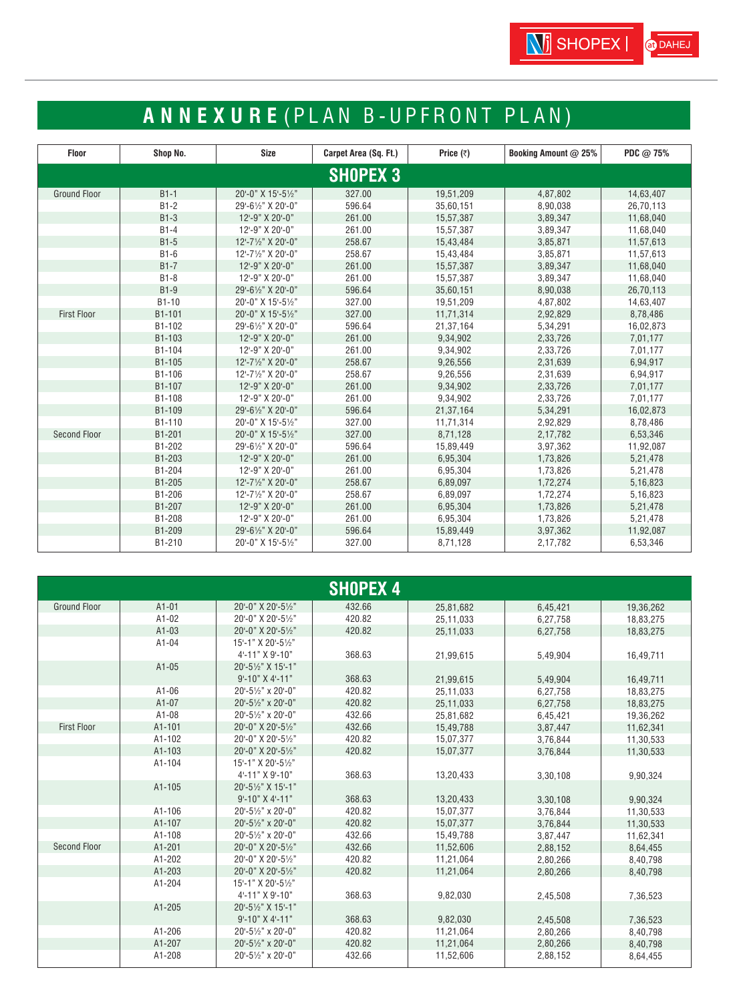# **ANNEXURE** ( PLAN B-UPFRONT PLAN)

| <b>Floor</b>        | Shop No. | Size               | Carpet Area (Sq. Ft.) | Price $(7)$ | Booking Amount @ 25% | PDC @ 75% |
|---------------------|----------|--------------------|-----------------------|-------------|----------------------|-----------|
| <b>SHOPEX 3</b>     |          |                    |                       |             |                      |           |
| <b>Ground Floor</b> | $B1-1$   | 20'-0" X 15'-51/2" | 327.00                | 19,51,209   | 4,87,802             | 14,63,407 |
|                     | $B1-2$   | 29'-61/2" X 20'-0" | 596.64                | 35,60,151   | 8,90,038             | 26,70,113 |
|                     | $B1-3$   | 12'-9" X 20'-0"    | 261.00                | 15,57,387   | 3,89,347             | 11,68,040 |
|                     | $B1-4$   | 12'-9" X 20'-0"    | 261.00                | 15,57,387   | 3,89,347             | 11,68,040 |
|                     | $B1-5$   | 12'-71/2" X 20'-0" | 258.67                | 15,43,484   | 3,85,871             | 11,57,613 |
|                     | $B1-6$   | 12'-71/2" X 20'-0" | 258.67                | 15,43,484   | 3,85,871             | 11,57,613 |
|                     | $B1-7$   | 12'-9" X 20'-0"    | 261.00                | 15,57,387   | 3,89,347             | 11,68,040 |
|                     | $B1-8$   | 12'-9" X 20'-0"    | 261.00                | 15,57,387   | 3,89,347             | 11,68,040 |
|                     | $B1-9$   | 29'-61/2" X 20'-0" | 596.64                | 35,60,151   | 8,90,038             | 26,70,113 |
|                     | $B1-10$  | 20'-0" X 15'-51/2" | 327.00                | 19,51,209   | 4,87,802             | 14,63,407 |
| <b>First Floor</b>  | B1-101   | 20'-0" X 15'-51/2" | 327.00                | 11,71,314   | 2,92,829             | 8,78,486  |
|                     | B1-102   | 29'-61/2" X 20'-0" | 596.64                | 21,37,164   | 5,34,291             | 16,02,873 |
|                     | B1-103   | 12'-9" X 20'-0"    | 261.00                | 9,34,902    | 2,33,726             | 7,01,177  |
|                     | B1-104   | 12'-9" X 20'-0"    | 261.00                | 9,34,902    | 2,33,726             | 7,01,177  |
|                     | B1-105   | 12'-71/2" X 20'-0" | 258.67                | 9,26,556    | 2,31,639             | 6,94,917  |
|                     | B1-106   | 12'-71/2" X 20'-0" | 258.67                | 9,26,556    | 2,31,639             | 6,94,917  |
|                     | B1-107   | 12'-9" X 20'-0"    | 261.00                | 9,34,902    | 2,33,726             | 7,01,177  |
|                     | B1-108   | 12'-9" X 20'-0"    | 261.00                | 9,34,902    | 2,33,726             | 7,01,177  |
|                     | B1-109   | 29'-61/2" X 20'-0" | 596.64                | 21,37,164   | 5,34,291             | 16,02,873 |
|                     | B1-110   | 20'-0" X 15'-51/2" | 327.00                | 11,71,314   | 2,92,829             | 8,78,486  |
| <b>Second Floor</b> | B1-201   | 20'-0" X 15'-51/2" | 327.00                | 8,71,128    | 2,17,782             | 6,53,346  |
|                     | B1-202   | 29'-61/2" X 20'-0" | 596.64                | 15,89,449   | 3,97,362             | 11,92,087 |
|                     | B1-203   | 12'-9" X 20'-0"    | 261.00                | 6,95,304    | 1,73,826             | 5,21,478  |
|                     | B1-204   | 12'-9" X 20'-0"    | 261.00                | 6,95,304    | 1,73,826             | 5,21,478  |
|                     | B1-205   | 12'-71/2" X 20'-0" | 258.67                | 6,89,097    | 1,72,274             | 5,16,823  |
|                     | B1-206   | 12'-71/2" X 20'-0" | 258.67                | 6,89,097    | 1,72,274             | 5,16,823  |
|                     | B1-207   | 12'-9" X 20'-0"    | 261.00                | 6,95,304    | 1,73,826             | 5,21,478  |
|                     | B1-208   | 12'-9" X 20'-0"    | 261.00                | 6,95,304    | 1,73,826             | 5,21,478  |
|                     | B1-209   | 29'-61/2" X 20'-0" | 596.64                | 15,89,449   | 3,97,362             | 11,92,087 |
|                     | B1-210   | 20'-0" X 15'-51/2" | 327.00                | 8,71,128    | 2,17,782             | 6,53,346  |

|                     |            |                                 | <b>SHOPEX 4</b> |           |          |           |
|---------------------|------------|---------------------------------|-----------------|-----------|----------|-----------|
| <b>Ground Floor</b> | $A1-01$    | 20'-0" X 20'-51/2"              | 432.66          | 25,81,682 | 6,45,421 | 19,36,262 |
|                     | $A1-02$    | 20'-0" X 20'-51/2"              | 420.82          | 25,11,033 | 6,27,758 | 18,83,275 |
|                     | $A1-03$    | 20'-0" X 20'-51/2"              | 420.82          | 25,11,033 | 6,27,758 | 18,83,275 |
|                     | $A1-04$    | 15'-1" X 20'-51/2"              |                 |           |          |           |
|                     |            | 4'-11" X 9'-10"                 | 368.63          | 21.99.615 | 5,49,904 | 16,49,711 |
|                     | $A1-05$    | 20'-51/2" X 15'-1"              |                 |           |          |           |
|                     |            | $9 - 10" X 4 - 11"$             | 368.63          | 21,99,615 | 5,49,904 | 16,49,711 |
|                     | $A1-06$    | 20'-51/2" x 20'-0"              | 420.82          | 25,11,033 | 6,27,758 | 18,83,275 |
|                     | $A1-07$    | 20'-51/2" x 20'-0"              | 420.82          | 25,11,033 | 6,27,758 | 18,83,275 |
|                     | $A1-08$    | 20'-51/2" x 20'-0"              | 432.66          | 25,81,682 | 6,45,421 | 19,36,262 |
| <b>First Floor</b>  | A1-101     | 20'-0" X 20'-51/2"              | 432.66          | 15,49,788 | 3,87,447 | 11,62,341 |
|                     | A1-102     | 20'-0" X 20'-51/2"              | 420.82          | 15,07,377 | 3,76,844 | 11,30,533 |
|                     | $A1 - 103$ | 20'-0" X 20'-51/2"              | 420.82          | 15,07,377 | 3,76,844 | 11,30,533 |
|                     | A1-104     | 15'-1" X 20'-51/2"              |                 |           |          |           |
|                     |            | 4'-11" X 9'-10"                 | 368.63          | 13,20,433 | 3,30,108 | 9,90,324  |
|                     | A1-105     | 20'-51/ <sub>2</sub> " X 15'-1" |                 |           |          |           |
|                     |            | $9 - 10" X 4 - 11"$             | 368.63          | 13,20,433 | 3,30,108 | 9,90,324  |
|                     | A1-106     | 20'-51/2" x 20'-0"              | 420.82          | 15,07,377 | 3,76,844 | 11,30,533 |
|                     | A1-107     | 20'-51/2" x 20'-0"              | 420.82          | 15,07,377 | 3,76,844 | 11,30,533 |
|                     | A1-108     | 20'-51/2" x 20'-0"              | 432.66          | 15,49,788 | 3,87,447 | 11.62.341 |
| <b>Second Floor</b> | A1-201     | 20'-0" X 20'-51/2"              | 432.66          | 11,52,606 | 2,88,152 | 8,64,455  |
|                     | A1-202     | 20'-0" X 20'-51/2"              | 420.82          | 11.21.064 | 2.80.266 | 8,40,798  |
|                     | A1-203     | 20'-0" X 20'-51/2"              | 420.82          | 11,21,064 | 2,80,266 | 8,40,798  |
|                     | A1-204     | 15'-1" X 20'-51/2"              |                 |           |          |           |
|                     |            | 4'-11" X 9'-10"                 | 368.63          | 9,82,030  | 2,45,508 | 7,36,523  |
|                     | A1-205     | 20'-51/ <sub>2</sub> " X 15'-1" |                 |           |          |           |
|                     |            | $9 - 10" X 4 - 11"$             | 368.63          | 9,82,030  | 2,45,508 | 7,36,523  |
|                     | A1-206     | 20'-51/2" x 20'-0"              | 420.82          | 11,21,064 | 2,80,266 | 8,40,798  |
|                     | A1-207     | 20'-51/2" x 20'-0"              | 420.82          | 11,21,064 | 2,80,266 | 8,40,798  |
|                     | A1-208     | 20'-51/ <sub>2</sub> " x 20'-0" | 432.66          | 11,52,606 | 2,88,152 | 8,64,455  |